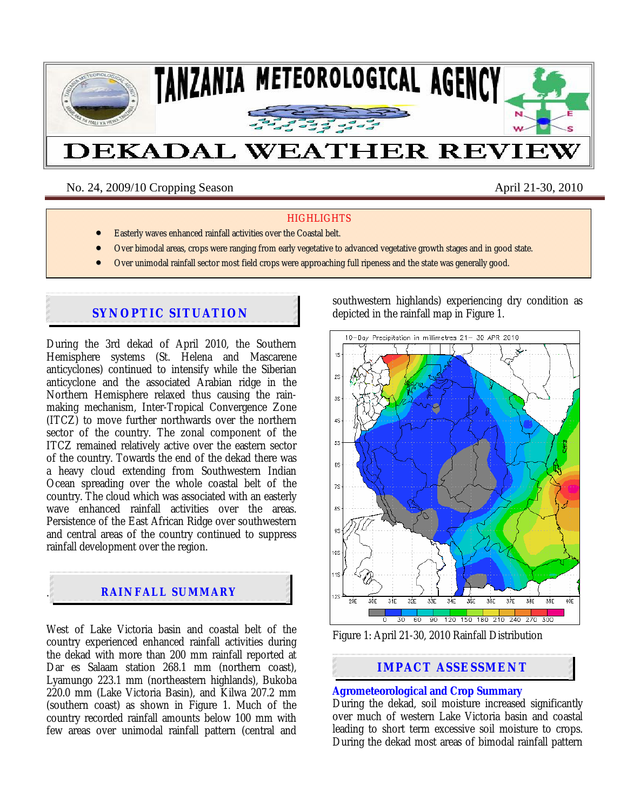

No. 24, 2009/10 Cropping Season April 21-30, 2010

#### **HIGHLIGHTS**

- Easterly waves enhanced rainfall activities over the Coastal belt.
- Over bimodal areas, crops were ranging from early vegetative to advanced vegetative growth stages and in good state.
- Over unimodal rainfall sector most field crops were approaching full ripeness and the state was generally good.

# **SYNOPTIC SITUATION**

During the 3rd dekad of April 2010, the Southern Hemisphere systems (St. Helena and Mascarene anticyclones) continued to intensify while the Siberian anticyclone and the associated Arabian ridge in the Northern Hemisphere relaxed thus causing the rainmaking mechanism, Inter-Tropical Convergence Zone (ITCZ) to move further northwards over the northern sector of the country. The zonal component of the ITCZ remained relatively active over the eastern sector of the country. Towards the end of the dekad there was a heavy cloud extending from Southwestern Indian Ocean spreading over the whole coastal belt of the country. The cloud which was associated with an easterly wave enhanced rainfall activities over the areas. Persistence of the East African Ridge over southwestern and central areas of the country continued to suppress rainfall development over the region.



West of Lake Victoria basin and coastal belt of the country experienced enhanced rainfall activities during the dekad with more than 200 mm rainfall reported at Dar es Salaam station 268.1 mm (northern coast). Lyamungo 223.1 mm (northeastern highlands), Bukoba 220.0 mm (Lake Victoria Basin), and Kilwa 207.2 mm (southern coast) as shown in Figure 1. Much of the country recorded rainfall amounts below 100 mm with few areas over unimodal rainfall pattern (central and southwestern highlands) experiencing dry condition as depicted in the rainfall map in Figure 1.



Figure 1: April 21-30, 2010 Rainfall Distribution

# **IMPACT ASSESSMENT**

# **Agrometeorological and Crop Summary**

During the dekad, soil moisture increased significantly over much of western Lake Victoria basin and coastal leading to short term excessive soil moisture to crops. During the dekad most areas of bimodal rainfall pattern